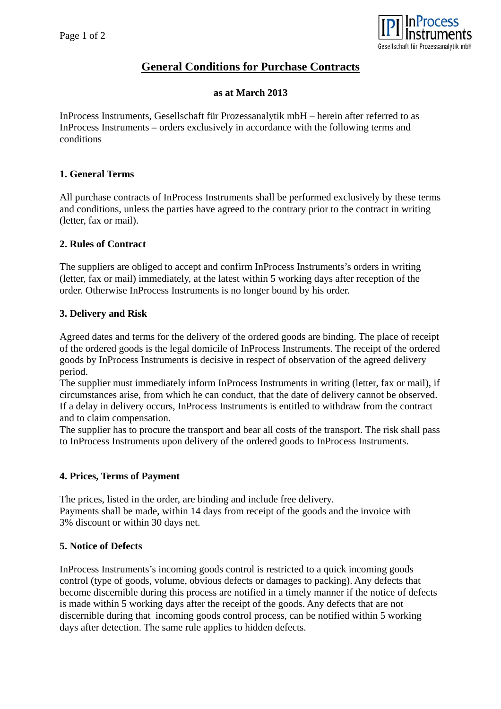

# **General Conditions for Purchase Contracts**

#### **as at March 2013**

InProcess Instruments, Gesellschaft für Prozessanalytik mbH – herein after referred to as InProcess Instruments – orders exclusively in accordance with the following terms and conditions

# **1. General Terms**

All purchase contracts of InProcess Instruments shall be performed exclusively by these terms and conditions, unless the parties have agreed to the contrary prior to the contract in writing (letter, fax or mail).

#### **2. Rules of Contract**

The suppliers are obliged to accept and confirm InProcess Instruments's orders in writing (letter, fax or mail) immediately, at the latest within 5 working days after reception of the order. Otherwise InProcess Instruments is no longer bound by his order.

#### **3. Delivery and Risk**

Agreed dates and terms for the delivery of the ordered goods are binding. The place of receipt of the ordered goods is the legal domicile of InProcess Instruments. The receipt of the ordered goods by InProcess Instruments is decisive in respect of observation of the agreed delivery period.

The supplier must immediately inform InProcess Instruments in writing (letter, fax or mail), if circumstances arise, from which he can conduct, that the date of delivery cannot be observed. If a delay in delivery occurs, InProcess Instruments is entitled to withdraw from the contract and to claim compensation.

The supplier has to procure the transport and bear all costs of the transport. The risk shall pass to InProcess Instruments upon delivery of the ordered goods to InProcess Instruments.

# **4. Prices, Terms of Payment**

The prices, listed in the order, are binding and include free delivery. Payments shall be made, within 14 days from receipt of the goods and the invoice with 3% discount or within 30 days net.

# **5. Notice of Defects**

InProcess Instruments's incoming goods control is restricted to a quick incoming goods control (type of goods, volume, obvious defects or damages to packing). Any defects that become discernible during this process are notified in a timely manner if the notice of defects is made within 5 working days after the receipt of the goods. Any defects that are not discernible during that incoming goods control process, can be notified within 5 working days after detection. The same rule applies to hidden defects.